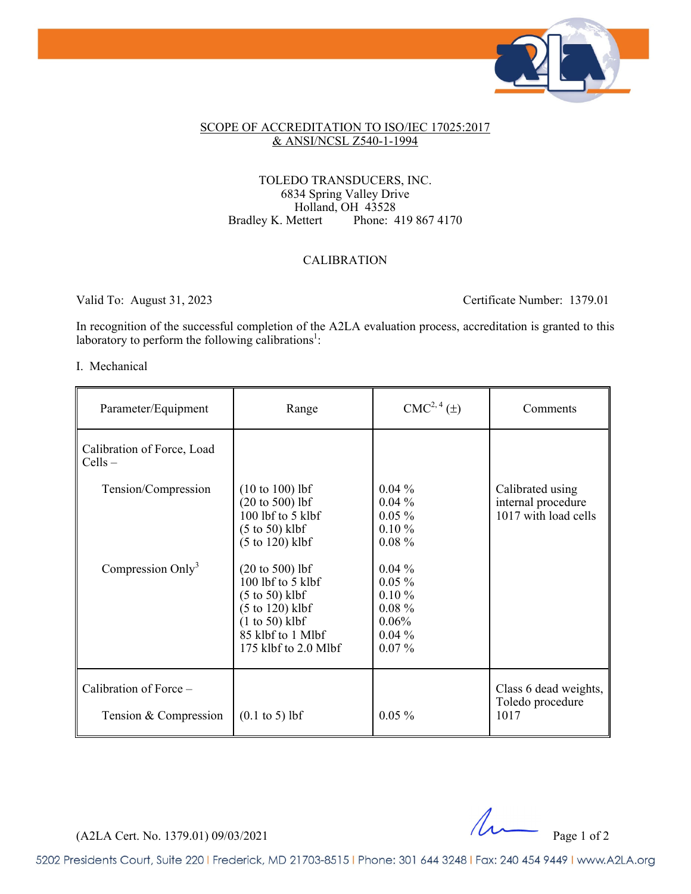

## SCOPE OF ACCREDITATION TO ISO/IEC 17025:2017 & ANSI/NCSL Z540-1-1994

## TOLEDO TRANSDUCERS, INC. 6834 Spring Valley Drive Holland, OH 43528<br>Bradley K. Mettert Phone: 4 Phone: 419 867 4170

## CALIBRATION

Valid To: August 31, 2023 Certificate Number: 1379.01

In recognition of the successful completion of the A2LA evaluation process, accreditation is granted to this laboratory to perform the following calibrations<sup>1</sup>:

## I. Mechanical

| Parameter/Equipment                             | Range                                                                                                                                                              | $CMC2, 4(\pm)$                                                                     | Comments                                                       |
|-------------------------------------------------|--------------------------------------------------------------------------------------------------------------------------------------------------------------------|------------------------------------------------------------------------------------|----------------------------------------------------------------|
| Calibration of Force, Load<br>$Cells -$         |                                                                                                                                                                    |                                                                                    |                                                                |
| Tension/Compression                             | $(10 to 100)$ lbf<br>$(20 to 500)$ lbf<br>100 lbf to 5 klbf<br>$(5 \text{ to } 50)$ klbf<br>$(5 \text{ to } 120)$ klbf                                             | $0.04\%$<br>$0.04\%$<br>$0.05\%$<br>$0.10 \%$<br>$0.08 \%$                         | Calibrated using<br>internal procedure<br>1017 with load cells |
| Compression Only <sup>3</sup>                   | $(20 \text{ to } 500)$ lbf<br>100 lbf to 5 klbf<br>$(5 \text{ to } 50)$ klbf<br>$(5 to 120)$ klbf<br>$(1 to 50)$ klbf<br>85 klbf to 1 Mlbf<br>175 klbf to 2.0 Mlbf | $0.04\%$<br>$0.05\%$<br>$0.10 \%$<br>$0.08 \%$<br>$0.06\%$<br>$0.04\%$<br>$0.07\%$ |                                                                |
| Calibration of Force -<br>Tension & Compression | $(0.1 \text{ to } 5) \text{ lbf}$                                                                                                                                  | $0.05\%$                                                                           | Class 6 dead weights,<br>Toledo procedure<br>1017              |

 $(A2LA$  Cert. No. 1379.01) 09/03/2021 Page 1 of 2

5202 Presidents Court, Suite 220 | Frederick, MD 21703-8515 | Phone: 301 644 3248 | Fax: 240 454 9449 | www.A2LA.org